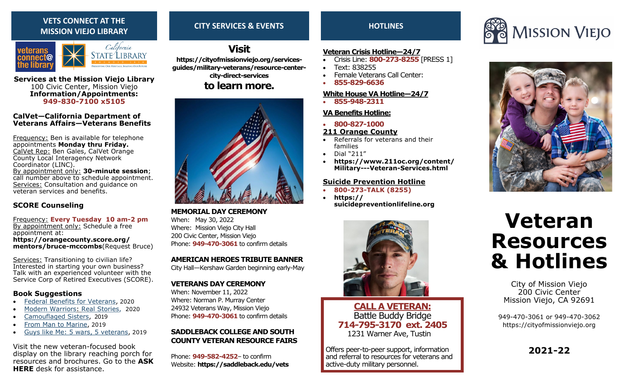## **VETS CONNECT AT THE MISSION VIEJO LIBRARY**



**Services at the Mission Viejo Library** 100 Civic Center, Mission Viejo **Information/Appointments: 949-830-7100 x5105**

### **CalVet—California Department of Veterans Affairs—Veterans Benefits**

Frequency: Ben is available for telephone appointments **Monday thru Friday.**  CalVet Rep: Ben Gales, CalVet Orange County Local Interagency Network Coordinator (LINC). By appointment only: **30-minute session**; call number above to schedule appointment. Services: Consultation and guidance on veteran services and benefits.

## **SCORE Counseling**

Frequency: **Every Tuesday 10 am-2 pm** By appointment only: Schedule a free appointment at: **https://orangecounty.score.org/ mentors/bruce-mccombs**(Request Bruce)

Services: Transitioning to civilian life? Interested in starting your own business? Talk with an experienced volunteer with the Service Corp of Retired Executives (SCORE).

## **Book Suggestions**

- Federal Benefits for Veterans, 2020
- Modern Warriors: Real Stories, 2020
- Camouflaged Sisters, 2019
- From Man to Marine, 2019
- Guys like Me: 5 wars, 5 veterans, 2019

Visit the new veteran-focused book display on the library reaching porch for resources and brochures. Go to the **ASK HERE** desk for assistance.

## **CITY SERVICES & EVENTS**

## **Visit**

**https://cityofmissionviejo.org/servicesguides/military-veterans/resource-centercity-direct-services**

## **to learn more.**



## **MEMORIAL DAY CEREMONY**

When: May 30, 2022 Where: Mission Viejo City Hall 200 Civic Center, Mission Viejo Phone: **949-470-3061** to confirm details

### **AMERICAN HEROES TRIBUTE BANNER**

City Hall—Kershaw Garden beginning early-May

## **VETERANS DAY CEREMONY**

When: November 11, 2022 Where: Norman P. Murray Center 24932 Veterans Way, Mission Viejo Phone: **949-470-3061** to confirm details

## **SADDLEBACK COLLEGE AND SOUTH COUNTY VETERAN RESOURCE FAIRS**

Phone: **949-582-4252**– to confirm Website: **https://saddleback.edu/vets**

## **HOTLINES**

## **Veteran Crisis Hotline—24/7**

- Crisis Line: **800-273-8255** [PRESS 1]
- Text: 838255
- Female Veterans Call Center:
- **855-829-6636**

## **White House VA Hotline—24/7**

• **855-948-2311**

## **VA Benefits Hotline:**

• **800-827-1000** 

## **211 Orange County**

- Referrals for veterans and their families
- Dial "211"
- **https://www.211oc.org/content/ Military---Veteran-Services.html**

## **Suicide Prevention Hotline**

• **800-273-TALK (8255)** • **https:// suicidepreventionlifeline.org**



## **CALL A VETERAN:**  Battle Buddy Bridge **714-795-3170 ext. 2405** 1231 Warner Ave, Tustin

Offers peer-to-peer support, information and referral to resources for veterans and active-duty military personnel.





# **Veteran Resources & Hotlines**

City of Mission Viejo 200 Civic Center Mission Viejo, CA 92691

949-470-3061 or 949-470-3062 https://cityofmissionviejo.org